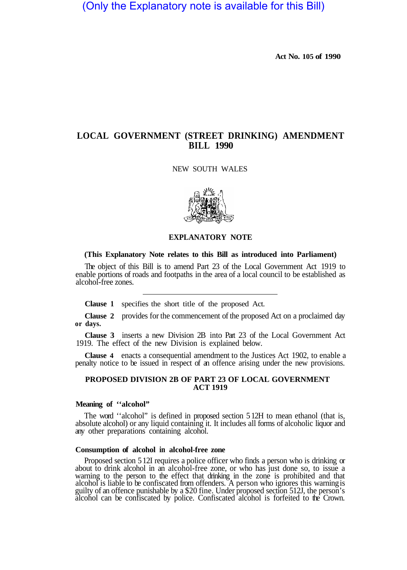(Only the Explanatory note is available for this Bill)

**Act No. 105 of 1990** 

# **LOCAL GOVERNMENT (STREET DRINKING) AMENDMENT BILL 1990**

#### NEW SOUTH WALES



#### **EXPLANATORY NOTE**

### **(This Explanatory Note relates to this Bill as introduced into Parliament)**

The object of this Bill is to amend Part 23 of the Local Government Act 1919 to enable portions of roads and footpaths in the area of a local council to be established as alcohol-free zones.

**Clause 1** specifies the short title of the proposed Act.

**Clause 2** provides for the commencement of the proposed Act on a proclaimed day **or days.** 

**Clause 3** inserts a new Division 2B into Part 23 of the Local Government Act 1919. The effect of the new Division is explained below.

**Clause 4** enacts a consequential amendment to the Justices Act 1902, to enable a penalty notice to be issued in respect of an offence arising under the new provisions.

# **ACT 1919 PROPOSED DIVISION 2B OF PART 23 OF LOCAL GOVERNMENT**

#### **Meaning of ''alcohol"**

The word ''alcohol" is defined in proposed section 5 12H to mean ethanol (that is, absolute alcohol) or any liquid containing it. It includes all forms of alcoholic liquor and any other preparations containing alcohol.

## **Consumption of alcohol in alcohol-free zone**

Proposed section 5 12I requires a police officer who finds a person who is drinking or about to drink alcohol in an alcohol-free zone, or who has just done so, to issue a warning to the person to the effect that drinking in the zone is prohibited and that alcohol is liable to be confiscated from offenders. A person who ignores this warningis guilty of an offence punishable by a \$20 fine. Under proposed section 512J, the person's alcohol can be confiscated by police. Confiscated alcohol is forfeited to the Crown.